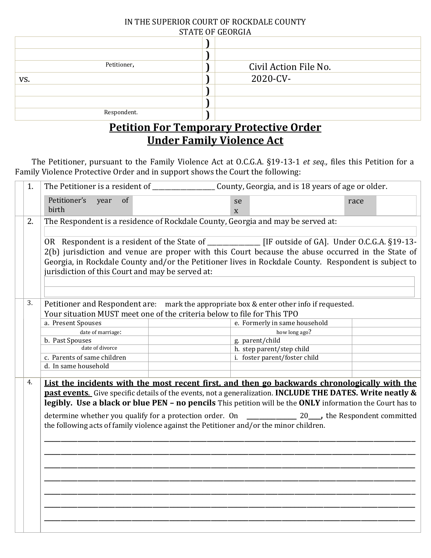| IN THE SUPERIOR COURT OF ROCKDALE COUNTY |  |  |  |  |  |
|------------------------------------------|--|--|--|--|--|
| <b>STATE OF GEORGIA</b>                  |  |  |  |  |  |

| STATE OF GEORGIA      |  |  |  |  |
|-----------------------|--|--|--|--|
|                       |  |  |  |  |
|                       |  |  |  |  |
| Civil Action File No. |  |  |  |  |
| 2020-CV-              |  |  |  |  |
|                       |  |  |  |  |
|                       |  |  |  |  |
|                       |  |  |  |  |
|                       |  |  |  |  |

## **Petition For Temporary Protective Order Under Family Violence Act**

 The Petitioner, pursuant to the Family Violence Act at O.C.G.A. §19-13-1 *et seq.,* files this Petition for a Family Violence Protective Order and in support shows the Court the following:

| 1.                                                                                                        |    |                                                                                                          |                                                                                                   |                                                                                                      |      |  |  |  |
|-----------------------------------------------------------------------------------------------------------|----|----------------------------------------------------------------------------------------------------------|---------------------------------------------------------------------------------------------------|------------------------------------------------------------------------------------------------------|------|--|--|--|
|                                                                                                           |    | Petitioner's<br>of<br>year<br>birth                                                                      | se<br>$\mathbf{X}$                                                                                |                                                                                                      | race |  |  |  |
|                                                                                                           | 2. | The Respondent is a residence of Rockdale County, Georgia and may be served at:                          |                                                                                                   |                                                                                                      |      |  |  |  |
|                                                                                                           |    |                                                                                                          |                                                                                                   |                                                                                                      |      |  |  |  |
|                                                                                                           |    | OR Respondent is a resident of the State of _________________ [IF outside of GA]. Under O.C.G.A. §19-13- |                                                                                                   |                                                                                                      |      |  |  |  |
|                                                                                                           |    |                                                                                                          | 2(b) jurisdiction and venue are proper with this Court because the abuse occurred in the State of |                                                                                                      |      |  |  |  |
|                                                                                                           |    |                                                                                                          |                                                                                                   | Georgia, in Rockdale County and/or the Petitioner lives in Rockdale County. Respondent is subject to |      |  |  |  |
|                                                                                                           |    | jurisdiction of this Court and may be served at:                                                         |                                                                                                   |                                                                                                      |      |  |  |  |
|                                                                                                           |    |                                                                                                          |                                                                                                   |                                                                                                      |      |  |  |  |
|                                                                                                           |    |                                                                                                          |                                                                                                   |                                                                                                      |      |  |  |  |
|                                                                                                           |    |                                                                                                          |                                                                                                   |                                                                                                      |      |  |  |  |
|                                                                                                           | 3. |                                                                                                          |                                                                                                   | Petitioner and Respondent are: mark the appropriate box & enter other info if requested.             |      |  |  |  |
|                                                                                                           |    | Your situation MUST meet one of the criteria below to file for This TPO                                  |                                                                                                   |                                                                                                      |      |  |  |  |
|                                                                                                           |    | a. Present Spouses                                                                                       |                                                                                                   | e. Formerly in same household                                                                        |      |  |  |  |
|                                                                                                           |    | date of marriage:<br>b. Past Spouses                                                                     |                                                                                                   | how long ago?<br>g. parent/child                                                                     |      |  |  |  |
|                                                                                                           |    | date of divorce                                                                                          |                                                                                                   | h. step parent/step child                                                                            |      |  |  |  |
|                                                                                                           |    | c. Parents of same children                                                                              |                                                                                                   | i. foster parent/foster child                                                                        |      |  |  |  |
|                                                                                                           |    | d. In same household                                                                                     |                                                                                                   |                                                                                                      |      |  |  |  |
|                                                                                                           |    |                                                                                                          |                                                                                                   |                                                                                                      |      |  |  |  |
|                                                                                                           | 4. | List the incidents with the most recent first, and then go backwards chronologically with the            |                                                                                                   |                                                                                                      |      |  |  |  |
| past events. Give specific details of the events, not a generalization. INCLUDE THE DATES. Write neatly & |    |                                                                                                          |                                                                                                   |                                                                                                      |      |  |  |  |
| legibly. Use a black or blue PEN - no pencils This petition will be the ONLY information the Court has to |    |                                                                                                          |                                                                                                   |                                                                                                      |      |  |  |  |
|                                                                                                           |    |                                                                                                          |                                                                                                   |                                                                                                      |      |  |  |  |
|                                                                                                           |    | the following acts of family violence against the Petitioner and/or the minor children.                  |                                                                                                   |                                                                                                      |      |  |  |  |
|                                                                                                           |    |                                                                                                          |                                                                                                   |                                                                                                      |      |  |  |  |
|                                                                                                           |    |                                                                                                          |                                                                                                   |                                                                                                      |      |  |  |  |
|                                                                                                           |    |                                                                                                          |                                                                                                   |                                                                                                      |      |  |  |  |
|                                                                                                           |    |                                                                                                          |                                                                                                   |                                                                                                      |      |  |  |  |
|                                                                                                           |    |                                                                                                          |                                                                                                   |                                                                                                      |      |  |  |  |
|                                                                                                           |    |                                                                                                          |                                                                                                   |                                                                                                      |      |  |  |  |
|                                                                                                           |    |                                                                                                          |                                                                                                   |                                                                                                      |      |  |  |  |
|                                                                                                           |    |                                                                                                          |                                                                                                   |                                                                                                      |      |  |  |  |
|                                                                                                           |    |                                                                                                          |                                                                                                   |                                                                                                      |      |  |  |  |
|                                                                                                           |    |                                                                                                          |                                                                                                   |                                                                                                      |      |  |  |  |
|                                                                                                           |    |                                                                                                          |                                                                                                   |                                                                                                      |      |  |  |  |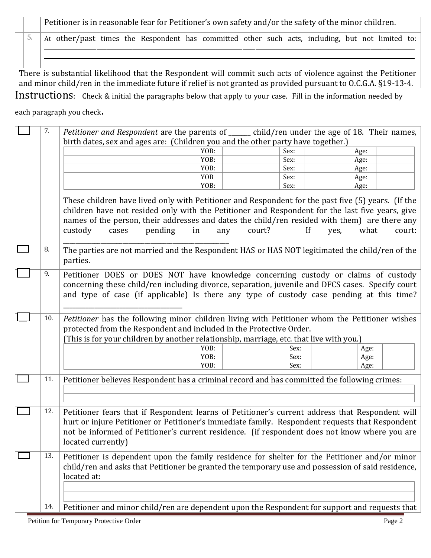Petitioner is in reasonable fear for Petitioner's own safety and/or the safety of the minor children.

5. At other/past times the Respondent has committed other such acts, including, but not limited to:  $\mathcal{L}_\mathcal{L} = \mathcal{L}_\mathcal{L} = \mathcal{L}_\mathcal{L} = \mathcal{L}_\mathcal{L} = \mathcal{L}_\mathcal{L} = \mathcal{L}_\mathcal{L} = \mathcal{L}_\mathcal{L} = \mathcal{L}_\mathcal{L} = \mathcal{L}_\mathcal{L} = \mathcal{L}_\mathcal{L} = \mathcal{L}_\mathcal{L} = \mathcal{L}_\mathcal{L} = \mathcal{L}_\mathcal{L} = \mathcal{L}_\mathcal{L} = \mathcal{L}_\mathcal{L} = \mathcal{L}_\mathcal{L} = \mathcal{L}_\mathcal{L}$ 

 $\mathcal{L} = \{ \mathcal{L} = \{ \mathcal{L} = \{ \mathcal{L} = \{ \mathcal{L} = \{ \mathcal{L} = \{ \mathcal{L} = \{ \mathcal{L} = \{ \mathcal{L} = \{ \mathcal{L} = \{ \mathcal{L} = \{ \mathcal{L} = \{ \mathcal{L} = \{ \mathcal{L} = \{ \mathcal{L} = \{ \mathcal{L} = \{ \mathcal{L} = \{ \mathcal{L} = \{ \mathcal{L} = \{ \mathcal{L} = \{ \mathcal{L} = \{ \mathcal{L} = \{ \mathcal{L} = \{ \mathcal{L} = \{ \mathcal{$ 

There is substantial likelihood that the Respondent will commit such acts of violence against the Petitioner and minor child/ren in the immediate future if relief is not granted as provided pursuant to O.C.G.A. §19-13-4.

Instructions: Check & initial the paragraphs below that apply to your case. Fill in the information needed by

each paragraph you check.

| 7.                                                                                                                                                                          | Petitioner and Respondent are the parents of ______ child/ren under the age of 18. Their names,                                                                                                                                                                                                                                             |               |              |                |
|-----------------------------------------------------------------------------------------------------------------------------------------------------------------------------|---------------------------------------------------------------------------------------------------------------------------------------------------------------------------------------------------------------------------------------------------------------------------------------------------------------------------------------------|---------------|--------------|----------------|
|                                                                                                                                                                             | birth dates, sex and ages are: (Children you and the other party have together.)                                                                                                                                                                                                                                                            |               |              |                |
|                                                                                                                                                                             |                                                                                                                                                                                                                                                                                                                                             | YOB:          | Sex:         | Age:           |
|                                                                                                                                                                             |                                                                                                                                                                                                                                                                                                                                             | YOB:          | Sex:         | Age:           |
|                                                                                                                                                                             |                                                                                                                                                                                                                                                                                                                                             | YOB:          | Sex:         | Age:           |
|                                                                                                                                                                             |                                                                                                                                                                                                                                                                                                                                             | <b>YOB</b>    | Sex:         | Age:           |
|                                                                                                                                                                             |                                                                                                                                                                                                                                                                                                                                             | YOB:          | Sex:         | Age:           |
|                                                                                                                                                                             | These children have lived only with Petitioner and Respondent for the past five (5) years. (If the<br>children have not resided only with the Petitioner and Respondent for the last five years, give<br>names of the person, their addresses and dates the child/ren resided with them) are there any<br>pending<br>custody<br>in<br>cases | court?<br>any | If<br>yes,   | what<br>court: |
| 8.                                                                                                                                                                          | The parties are not married and the Respondent HAS or HAS NOT legitimated the child/ren of the<br>parties.                                                                                                                                                                                                                                  |               |              |                |
| 9.                                                                                                                                                                          | Petitioner DOES or DOES NOT have knowledge concerning custody or claims of custody<br>concerning these child/ren including divorce, separation, juvenile and DFCS cases. Specify court<br>and type of case (if applicable) Is there any type of custody case pending at this time?                                                          |               |              |                |
| 10.<br>Petitioner has the following minor children living with Petitioner whom the Petitioner wishes<br>protected from the Respondent and included in the Protective Order. |                                                                                                                                                                                                                                                                                                                                             |               |              |                |
|                                                                                                                                                                             | (This is for your children by another relationship, marriage, etc. that live with you.)                                                                                                                                                                                                                                                     |               |              |                |
|                                                                                                                                                                             |                                                                                                                                                                                                                                                                                                                                             | YOB:          | Sex:         | Age:           |
|                                                                                                                                                                             |                                                                                                                                                                                                                                                                                                                                             | YOB:<br>YOB:  | Sex:<br>Sex: | Age:           |
|                                                                                                                                                                             |                                                                                                                                                                                                                                                                                                                                             |               |              | Age:           |
| 11.                                                                                                                                                                         | Petitioner believes Respondent has a criminal record and has committed the following crimes:                                                                                                                                                                                                                                                |               |              |                |
|                                                                                                                                                                             |                                                                                                                                                                                                                                                                                                                                             |               |              |                |
|                                                                                                                                                                             |                                                                                                                                                                                                                                                                                                                                             |               |              |                |
| 12.                                                                                                                                                                         | Petitioner fears that if Respondent learns of Petitioner's current address that Respondent will<br>hurt or injure Petitioner or Petitioner's immediate family. Respondent requests that Respondent<br>not be informed of Petitioner's current residence. (if respondent does not know where you are<br>located currently)                   |               |              |                |
| 13.                                                                                                                                                                         | Petitioner is dependent upon the family residence for shelter for the Petitioner and/or minor<br>child/ren and asks that Petitioner be granted the temporary use and possession of said residence,<br>located at:                                                                                                                           |               |              |                |
| 14.                                                                                                                                                                         | Petitioner and minor child/ren are dependent upon the Respondent for support and requests that                                                                                                                                                                                                                                              |               |              |                |
|                                                                                                                                                                             |                                                                                                                                                                                                                                                                                                                                             |               |              |                |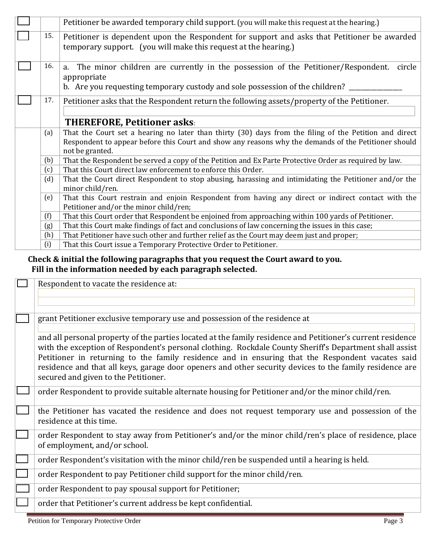|                                                                                                               |                                                                                                                                   | Petitioner be awarded temporary child support. (you will make this request at the hearing.)                                                                                                                                       |  |
|---------------------------------------------------------------------------------------------------------------|-----------------------------------------------------------------------------------------------------------------------------------|-----------------------------------------------------------------------------------------------------------------------------------------------------------------------------------------------------------------------------------|--|
|                                                                                                               | 15.                                                                                                                               | Petitioner is dependent upon the Respondent for support and asks that Petitioner be awarded<br>temporary support. (you will make this request at the hearing.)                                                                    |  |
|                                                                                                               | 16.                                                                                                                               | The minor children are currently in the possession of the Petitioner/Respondent.<br>circle<br>a.<br>appropriate<br>b. Are you requesting temporary custody and sole possession of the children?                                   |  |
|                                                                                                               | Petitioner asks that the Respondent return the following assets/property of the Petitioner.<br><b>THEREFORE, Petitioner asks:</b> |                                                                                                                                                                                                                                   |  |
|                                                                                                               |                                                                                                                                   |                                                                                                                                                                                                                                   |  |
|                                                                                                               | (a)                                                                                                                               | That the Court set a hearing no later than thirty (30) days from the filing of the Petition and direct<br>Respondent to appear before this Court and show any reasons why the demands of the Petitioner should<br>not be granted. |  |
| (b)<br>That the Respondent be served a copy of the Petition and Ex Parte Protective Order as required by law. |                                                                                                                                   |                                                                                                                                                                                                                                   |  |
|                                                                                                               | (c)                                                                                                                               | That this Court direct law enforcement to enforce this Order.                                                                                                                                                                     |  |
|                                                                                                               | (d)                                                                                                                               | That the Court direct Respondent to stop abusing, harassing and intimidating the Petitioner and/or the<br>minor child/ren.                                                                                                        |  |
|                                                                                                               | (e)                                                                                                                               | That this Court restrain and enjoin Respondent from having any direct or indirect contact with the<br>Petitioner and/or the minor child/ren;                                                                                      |  |
|                                                                                                               | (f)<br>That this Court order that Respondent be enjoined from approaching within 100 yards of Petitioner.                         |                                                                                                                                                                                                                                   |  |
|                                                                                                               | That this Court make findings of fact and conclusions of law concerning the issues in this case;<br>(g)                           |                                                                                                                                                                                                                                   |  |
|                                                                                                               | (h)<br>That Petitioner have such other and further relief as the Court may deem just and proper;                                  |                                                                                                                                                                                                                                   |  |
|                                                                                                               | (i)                                                                                                                               | That this Court issue a Temporary Protective Order to Petitioner.                                                                                                                                                                 |  |

## **Check & initial the following paragraphs that you request the Court award to you. Fill in the information needed by each paragraph selected.**

| Respondent to vacate the residence at:                                                                                                                                                                                                                                                                                                                                                                                                                                        |
|-------------------------------------------------------------------------------------------------------------------------------------------------------------------------------------------------------------------------------------------------------------------------------------------------------------------------------------------------------------------------------------------------------------------------------------------------------------------------------|
|                                                                                                                                                                                                                                                                                                                                                                                                                                                                               |
| grant Petitioner exclusive temporary use and possession of the residence at                                                                                                                                                                                                                                                                                                                                                                                                   |
| and all personal property of the parties located at the family residence and Petitioner's current residence<br>with the exception of Respondent's personal clothing. Rockdale County Sheriff's Department shall assist<br>Petitioner in returning to the family residence and in ensuring that the Respondent vacates said<br>residence and that all keys, garage door openers and other security devices to the family residence are<br>secured and given to the Petitioner. |
| order Respondent to provide suitable alternate housing for Petitioner and/or the minor child/ren.                                                                                                                                                                                                                                                                                                                                                                             |
| the Petitioner has vacated the residence and does not request temporary use and possession of the<br>residence at this time.                                                                                                                                                                                                                                                                                                                                                  |
| order Respondent to stay away from Petitioner's and/or the minor child/ren's place of residence, place<br>of employment, and/or school.                                                                                                                                                                                                                                                                                                                                       |
| order Respondent's visitation with the minor child/ren be suspended until a hearing is held.                                                                                                                                                                                                                                                                                                                                                                                  |
| order Respondent to pay Petitioner child support for the minor child/ren.                                                                                                                                                                                                                                                                                                                                                                                                     |
| order Respondent to pay spousal support for Petitioner;                                                                                                                                                                                                                                                                                                                                                                                                                       |
| order that Petitioner's current address be kept confidential.                                                                                                                                                                                                                                                                                                                                                                                                                 |